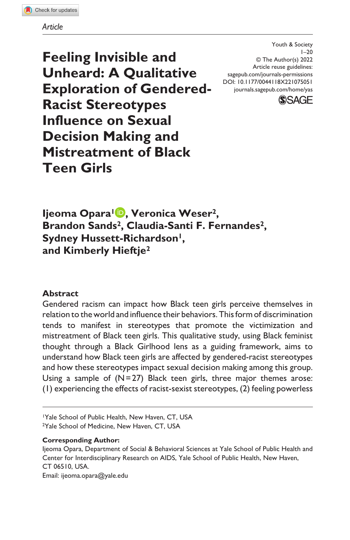#### *Article*

**Feeling Invisible and Unheard: A Qualitative Exploration of Gendered-Racist Stereotypes Influence on Sexual Decision Making and Mistreatment of Black Teen Girls**

DOI: 10.1177/0044118X221075051 Youth & Society  $1 - 20$ © The Author(s) 2022 Article reuse guidelines: [sagepub.com/journals-permissions](https://us.sagepub.com/en-us/journals-permissions) [journals.sagepub.com/home/yas](https://journals.sagepub.com/home/yas)



**Ijeoma Opara1 , Veronica Weser2, Brandon Sands2, Claudia-Santi F. Fernandes2, Sydney Hussett-Richardson<sup>1</sup>, and Kimberly Hieftje2**

## **Abstract**

Gendered racism can impact how Black teen girls perceive themselves in relation to the world and influence their behaviors. This form of discrimination tends to manifest in stereotypes that promote the victimization and mistreatment of Black teen girls. This qualitative study, using Black feminist thought through a Black Girlhood lens as a guiding framework, aims to understand how Black teen girls are affected by gendered-racist stereotypes and how these stereotypes impact sexual decision making among this group. Using a sample of  $(N=27)$  Black teen girls, three major themes arose: (1) experiencing the effects of racist-sexist stereotypes, (2) feeling powerless

1Yale School of Public Health, New Haven, CT, USA <sup>2</sup>Yale School of Medicine, New Haven, CT, USA

#### **Corresponding Author:**

Ijeoma Opara, Department of Social & Behavioral Sciences at Yale School of Public Health and Center for Interdisciplinary Research on AIDS, Yale School of Public Health, New Haven, CT 06510, USA. Email: [ijeoma.opara@yale.edu](mailto:ijeoma.opara@yale.edu)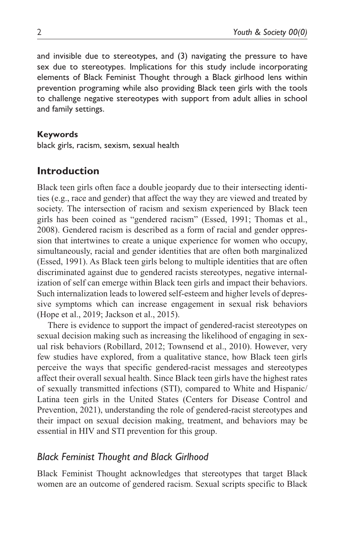and invisible due to stereotypes, and (3) navigating the pressure to have sex due to stereotypes. Implications for this study include incorporating elements of Black Feminist Thought through a Black girlhood lens within prevention programing while also providing Black teen girls with the tools to challenge negative stereotypes with support from adult allies in school and family settings.

#### **Keywords**

black girls, racism, sexism, sexual health

# **Introduction**

Black teen girls often face a double jeopardy due to their intersecting identities (e.g., race and gender) that affect the way they are viewed and treated by society. The intersection of racism and sexism experienced by Black teen girls has been coined as "gendered racism" (Essed, 1991; Thomas et al., 2008). Gendered racism is described as a form of racial and gender oppression that intertwines to create a unique experience for women who occupy, simultaneously, racial and gender identities that are often both marginalized (Essed, 1991). As Black teen girls belong to multiple identities that are often discriminated against due to gendered racists stereotypes, negative internalization of self can emerge within Black teen girls and impact their behaviors. Such internalization leads to lowered self-esteem and higher levels of depressive symptoms which can increase engagement in sexual risk behaviors (Hope et al., 2019; Jackson et al., 2015).

There is evidence to support the impact of gendered-racist stereotypes on sexual decision making such as increasing the likelihood of engaging in sexual risk behaviors (Robillard, 2012; Townsend et al., 2010). However, very few studies have explored, from a qualitative stance, how Black teen girls perceive the ways that specific gendered-racist messages and stereotypes affect their overall sexual health. Since Black teen girls have the highest rates of sexually transmitted infections (STI), compared to White and Hispanic/ Latina teen girls in the United States (Centers for Disease Control and Prevention, 2021), understanding the role of gendered-racist stereotypes and their impact on sexual decision making, treatment, and behaviors may be essential in HIV and STI prevention for this group.

## *Black Feminist Thought and Black Girlhood*

Black Feminist Thought acknowledges that stereotypes that target Black women are an outcome of gendered racism. Sexual scripts specific to Black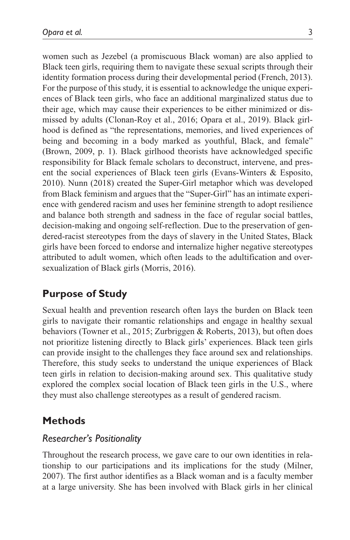women such as Jezebel (a promiscuous Black woman) are also applied to Black teen girls, requiring them to navigate these sexual scripts through their identity formation process during their developmental period (French, 2013). For the purpose of this study, it is essential to acknowledge the unique experiences of Black teen girls, who face an additional marginalized status due to their age, which may cause their experiences to be either minimized or dismissed by adults (Clonan-Roy et al., 2016; Opara et al., 2019). Black girlhood is defined as "the representations, memories, and lived experiences of being and becoming in a body marked as youthful, Black, and female" (Brown, 2009, p. 1). Black girlhood theorists have acknowledged specific responsibility for Black female scholars to deconstruct, intervene, and present the social experiences of Black teen girls (Evans-Winters & Esposito, 2010). Nunn (2018) created the Super-Girl metaphor which was developed from Black feminism and argues that the "Super-Girl" has an intimate experience with gendered racism and uses her feminine strength to adopt resilience and balance both strength and sadness in the face of regular social battles, decision-making and ongoing self-reflection. Due to the preservation of gendered-racist stereotypes from the days of slavery in the United States, Black girls have been forced to endorse and internalize higher negative stereotypes attributed to adult women, which often leads to the adultification and oversexualization of Black girls (Morris, 2016).

# **Purpose of Study**

Sexual health and prevention research often lays the burden on Black teen girls to navigate their romantic relationships and engage in healthy sexual behaviors (Towner et al., 2015; Zurbriggen & Roberts, 2013), but often does not prioritize listening directly to Black girls' experiences. Black teen girls can provide insight to the challenges they face around sex and relationships. Therefore, this study seeks to understand the unique experiences of Black teen girls in relation to decision-making around sex. This qualitative study explored the complex social location of Black teen girls in the U.S., where they must also challenge stereotypes as a result of gendered racism.

## **Methods**

## *Researcher's Positionality*

Throughout the research process, we gave care to our own identities in relationship to our participations and its implications for the study (Milner, 2007). The first author identifies as a Black woman and is a faculty member at a large university. She has been involved with Black girls in her clinical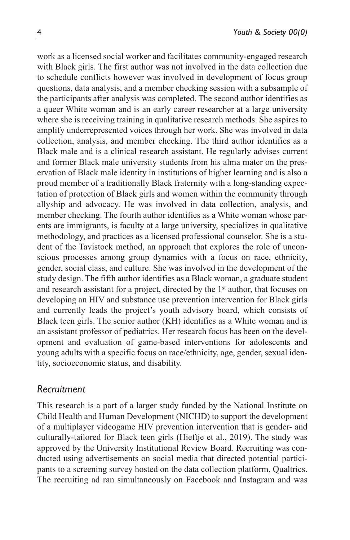work as a licensed social worker and facilitates community-engaged research with Black girls. The first author was not involved in the data collection due to schedule conflicts however was involved in development of focus group questions, data analysis, and a member checking session with a subsample of the participants after analysis was completed. The second author identifies as a queer White woman and is an early career researcher at a large university where she is receiving training in qualitative research methods. She aspires to amplify underrepresented voices through her work. She was involved in data collection, analysis, and member checking. The third author identifies as a Black male and is a clinical research assistant. He regularly advises current and former Black male university students from his alma mater on the preservation of Black male identity in institutions of higher learning and is also a proud member of a traditionally Black fraternity with a long-standing expectation of protection of Black girls and women within the community through allyship and advocacy. He was involved in data collection, analysis, and member checking. The fourth author identifies as a White woman whose parents are immigrants, is faculty at a large university, specializes in qualitative methodology, and practices as a licensed professional counselor. She is a student of the Tavistock method, an approach that explores the role of unconscious processes among group dynamics with a focus on race, ethnicity, gender, social class, and culture. She was involved in the development of the study design. The fifth author identifies as a Black woman, a graduate student and research assistant for a project, directed by the 1st author, that focuses on developing an HIV and substance use prevention intervention for Black girls and currently leads the project's youth advisory board, which consists of Black teen girls. The senior author (KH) identifies as a White woman and is an assistant professor of pediatrics. Her research focus has been on the development and evaluation of game-based interventions for adolescents and young adults with a specific focus on race/ethnicity, age, gender, sexual identity, socioeconomic status, and disability.

#### *Recruitment*

This research is a part of a larger study funded by the National Institute on Child Health and Human Development (NICHD) to support the development of a multiplayer videogame HIV prevention intervention that is gender- and culturally-tailored for Black teen girls (Hieftje et al., 2019). The study was approved by the University Institutional Review Board. Recruiting was conducted using advertisements on social media that directed potential participants to a screening survey hosted on the data collection platform, Qualtrics. The recruiting ad ran simultaneously on Facebook and Instagram and was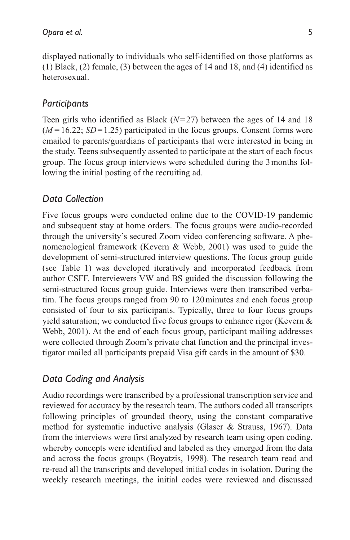displayed nationally to individuals who self-identified on those platforms as (1) Black, (2) female, (3) between the ages of 14 and 18, and (4) identified as heterosexual.

## *Participants*

Teen girls who identified as Black (*N*=27) between the ages of 14 and 18  $(M=16.22; SD=1.25)$  participated in the focus groups. Consent forms were emailed to parents/guardians of participants that were interested in being in the study. Teens subsequently assented to participate at the start of each focus group. The focus group interviews were scheduled during the 3months following the initial posting of the recruiting ad.

## *Data Collection*

Five focus groups were conducted online due to the COVID-19 pandemic and subsequent stay at home orders. The focus groups were audio-recorded through the university's secured Zoom video conferencing software. A phenomenological framework (Kevern & Webb, 2001) was used to guide the development of semi-structured interview questions. The focus group guide (see Table 1) was developed iteratively and incorporated feedback from author CSFF. Interviewers VW and BS guided the discussion following the semi-structured focus group guide. Interviews were then transcribed verbatim. The focus groups ranged from 90 to 120minutes and each focus group consisted of four to six participants. Typically, three to four focus groups yield saturation; we conducted five focus groups to enhance rigor (Kevern & Webb, 2001). At the end of each focus group, participant mailing addresses were collected through Zoom's private chat function and the principal investigator mailed all participants prepaid Visa gift cards in the amount of \$30.

## *Data Coding and Analysis*

Audio recordings were transcribed by a professional transcription service and reviewed for accuracy by the research team. The authors coded all transcripts following principles of grounded theory, using the constant comparative method for systematic inductive analysis (Glaser & Strauss, 1967). Data from the interviews were first analyzed by research team using open coding, whereby concepts were identified and labeled as they emerged from the data and across the focus groups (Boyatzis, 1998). The research team read and re-read all the transcripts and developed initial codes in isolation. During the weekly research meetings, the initial codes were reviewed and discussed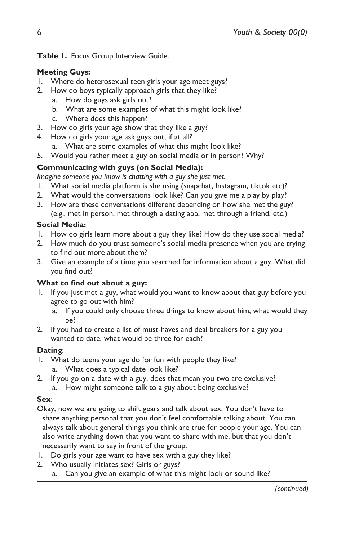## **Table 1.** Focus Group Interview Guide.

#### **Meeting Guys:**

- 1. Where do heterosexual teen girls your age meet guys?
- 2. How do boys typically approach girls that they like?
	- a. How do guys ask girls out?
	- b. What are some examples of what this might look like?
	- c. Where does this happen?
- 3. How do girls your age show that they like a guy?
- 4. How do girls your age ask guys out, if at all?
	- a. What are some examples of what this might look like?
- 5. Would you rather meet a guy on social media or in person? Why?

## **Communicating with guys (on Social Media):**

*Imagine someone you know is chatting with a guy she just met.*

- 1. What social media platform is she using (snapchat, Instagram, tiktok etc)?
- 2. What would the conversations look like? Can you give me a play by play?
- 3. How are these conversations different depending on how she met the guy? (e.g., met in person, met through a dating app, met through a friend, etc.)

## **Social Media:**

- 1. How do girls learn more about a guy they like? How do they use social media?
- 2. How much do you trust someone's social media presence when you are trying to find out more about them?
- 3. Give an example of a time you searched for information about a guy. What did you find out?

## **What to find out about a guy:**

- If you just met a guy, what would you want to know about that guy before you agree to go out with him?
	- a. If you could only choose three things to know about him, what would they be?
- 2. If you had to create a list of must-haves and deal breakers for a guy you wanted to date, what would be three for each?

## **Dating**:

- 1. What do teens your age do for fun with people they like? a. What does a typical date look like?
- 2. If you go on a date with a guy, does that mean you two are exclusive?
	- a. How might someone talk to a guy about being exclusive?

## **Sex**:

Okay, now we are going to shift gears and talk about sex. You don't have to share anything personal that you don't feel comfortable talking about. You can always talk about general things you think are true for people your age. You can also write anything down that you want to share with me, but that you don't necessarily want to say in front of the group.

- 1. Do girls your age want to have sex with a guy they like?
- 2. Who usually initiates sex? Girls or guys?
	- a. Can you give an example of what this might look or sound like?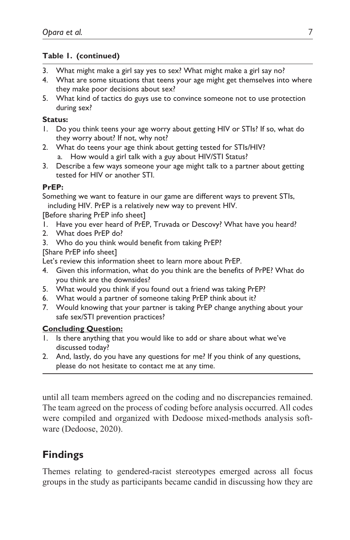### **Table 1. (continued)**

- 3. What might make a girl say yes to sex? What might make a girl say no?
- 4. What are some situations that teens your age might get themselves into where they make poor decisions about sex?
- 5. What kind of tactics do guys use to convince someone not to use protection during sex?

#### **Status:**

- 1. Do you think teens your age worry about getting HIV or STIs? If so, what do they worry about? If not, why not?
- 2. What do teens your age think about getting tested for STIs/HIV? a. How would a girl talk with a guy about HIV/STI Status?
- 3. Describe a few ways someone your age might talk to a partner about getting tested for HIV or another STI.

#### **PrEP:**

Something we want to feature in our game are different ways to prevent STIs, including HIV. PrEP is a relatively new way to prevent HIV.

[Before sharing PrEP info sheet]

- 1. Have you ever heard of PrEP, Truvada or Descovy? What have you heard?
- 2. What does PrEP do?
- 3. Who do you think would benefit from taking PrEP?

[Share PrEP info sheet]

Let's review this information sheet to learn more about PrEP.

- 4. Given this information, what do you think are the benefits of PrPE? What do you think are the downsides?
- 5. What would you think if you found out a friend was taking PrEP?
- 6. What would a partner of someone taking PrEP think about it?
- 7. Would knowing that your partner is taking PrEP change anything about your safe sex/STI prevention practices?

#### **Concluding Question:**

- 1. Is there anything that you would like to add or share about what we've discussed today?
- 2. And, lastly, do you have any questions for me? If you think of any questions, please do not hesitate to contact me at any time.

until all team members agreed on the coding and no discrepancies remained. The team agreed on the process of coding before analysis occurred. All codes were compiled and organized with Dedoose mixed-methods analysis software (Dedoose, 2020).

# **Findings**

Themes relating to gendered-racist stereotypes emerged across all focus groups in the study as participants became candid in discussing how they are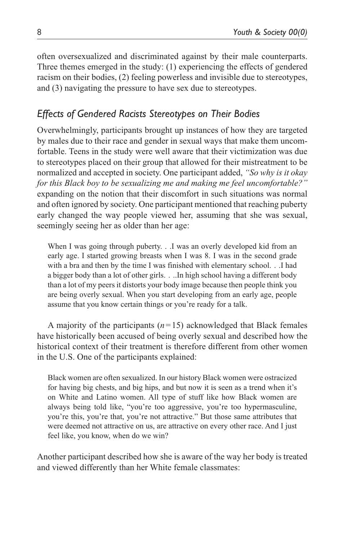often oversexualized and discriminated against by their male counterparts. Three themes emerged in the study: (1) experiencing the effects of gendered racism on their bodies, (2) feeling powerless and invisible due to stereotypes, and (3) navigating the pressure to have sex due to stereotypes.

# *Effects of Gendered Racists Stereotypes on Their Bodies*

Overwhelmingly, participants brought up instances of how they are targeted by males due to their race and gender in sexual ways that make them uncomfortable. Teens in the study were well aware that their victimization was due to stereotypes placed on their group that allowed for their mistreatment to be normalized and accepted in society. One participant added, *"So why is it okay for this Black boy to be sexualizing me and making me feel uncomfortable?"* expanding on the notion that their discomfort in such situations was normal and often ignored by society. One participant mentioned that reaching puberty early changed the way people viewed her, assuming that she was sexual, seemingly seeing her as older than her age:

When I was going through puberty. . .I was an overly developed kid from an early age. I started growing breasts when I was 8. I was in the second grade with a bra and then by the time I was finished with elementary school. . .I had a bigger body than a lot of other girls. . ..In high school having a different body than a lot of my peers it distorts your body image because then people think you are being overly sexual. When you start developing from an early age, people assume that you know certain things or you're ready for a talk.

A majority of the participants (*n*=15) acknowledged that Black females have historically been accused of being overly sexual and described how the historical context of their treatment is therefore different from other women in the U.S. One of the participants explained:

Black women are often sexualized. In our history Black women were ostracized for having big chests, and big hips, and but now it is seen as a trend when it's on White and Latino women. All type of stuff like how Black women are always being told like, "you're too aggressive, you're too hypermasculine, you're this, you're that, you're not attractive." But those same attributes that were deemed not attractive on us, are attractive on every other race. And I just feel like, you know, when do we win?

Another participant described how she is aware of the way her body is treated and viewed differently than her White female classmates: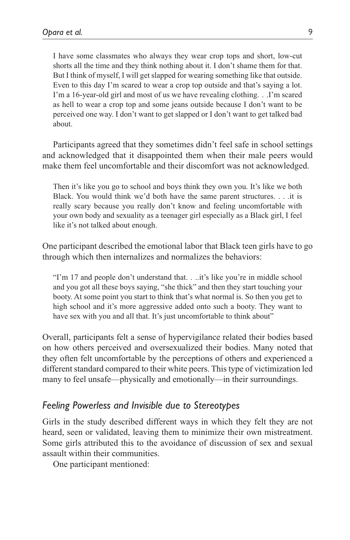I have some classmates who always they wear crop tops and short, low-cut shorts all the time and they think nothing about it. I don't shame them for that. But I think of myself, I will get slapped for wearing something like that outside. Even to this day I'm scared to wear a crop top outside and that's saying a lot. I'm a 16-year-old girl and most of us we have revealing clothing. . .I'm scared as hell to wear a crop top and some jeans outside because I don't want to be perceived one way. I don't want to get slapped or I don't want to get talked bad about.

Participants agreed that they sometimes didn't feel safe in school settings and acknowledged that it disappointed them when their male peers would make them feel uncomfortable and their discomfort was not acknowledged.

Then it's like you go to school and boys think they own you. It's like we both Black. You would think we'd both have the same parent structures. . . .it is really scary because you really don't know and feeling uncomfortable with your own body and sexuality as a teenager girl especially as a Black girl, I feel like it's not talked about enough.

One participant described the emotional labor that Black teen girls have to go through which then internalizes and normalizes the behaviors:

"I'm 17 and people don't understand that. . ..it's like you're in middle school and you got all these boys saying, "she thick" and then they start touching your booty. At some point you start to think that's what normal is. So then you get to high school and it's more aggressive added onto such a booty. They want to have sex with you and all that. It's just uncomfortable to think about"

Overall, participants felt a sense of hypervigilance related their bodies based on how others perceived and oversexualized their bodies. Many noted that they often felt uncomfortable by the perceptions of others and experienced a different standard compared to their white peers. This type of victimization led many to feel unsafe—physically and emotionally—in their surroundings.

## *Feeling Powerless and Invisible due to Stereotypes*

Girls in the study described different ways in which they felt they are not heard, seen or validated, leaving them to minimize their own mistreatment. Some girls attributed this to the avoidance of discussion of sex and sexual assault within their communities.

One participant mentioned: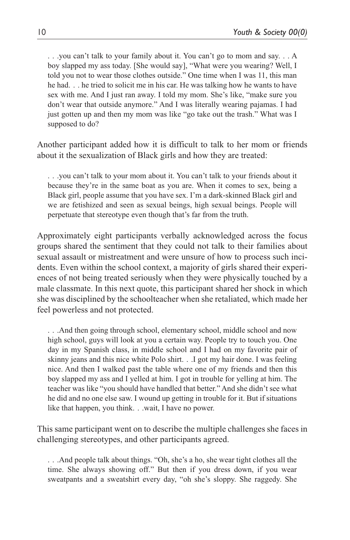. . .you can't talk to your family about it. You can't go to mom and say. . . A boy slapped my ass today. [She would say], "What were you wearing? Well, I told you not to wear those clothes outside." One time when I was 11, this man he had. . . he tried to solicit me in his car. He was talking how he wants to have sex with me. And I just ran away. I told my mom. She's like, "make sure you don't wear that outside anymore." And I was literally wearing pajamas. I had just gotten up and then my mom was like "go take out the trash." What was I supposed to do?

Another participant added how it is difficult to talk to her mom or friends about it the sexualization of Black girls and how they are treated:

. . .you can't talk to your mom about it. You can't talk to your friends about it because they're in the same boat as you are. When it comes to sex, being a Black girl, people assume that you have sex. I'm a dark-skinned Black girl and we are fetishized and seen as sexual beings, high sexual beings. People will perpetuate that stereotype even though that's far from the truth.

Approximately eight participants verbally acknowledged across the focus groups shared the sentiment that they could not talk to their families about sexual assault or mistreatment and were unsure of how to process such incidents. Even within the school context, a majority of girls shared their experiences of not being treated seriously when they were physically touched by a male classmate. In this next quote, this participant shared her shock in which she was disciplined by the schoolteacher when she retaliated, which made her feel powerless and not protected.

. . .And then going through school, elementary school, middle school and now high school, guys will look at you a certain way. People try to touch you. One day in my Spanish class, in middle school and I had on my favorite pair of skinny jeans and this nice white Polo shirt. . .I got my hair done. I was feeling nice. And then I walked past the table where one of my friends and then this boy slapped my ass and I yelled at him. I got in trouble for yelling at him. The teacher was like "you should have handled that better." And she didn't see what he did and no one else saw. I wound up getting in trouble for it. But if situations like that happen, you think. . .wait, I have no power.

This same participant went on to describe the multiple challenges she faces in challenging stereotypes, and other participants agreed.

. . .And people talk about things. "Oh, she's a ho, she wear tight clothes all the time. She always showing off." But then if you dress down, if you wear sweatpants and a sweatshirt every day, "oh she's sloppy. She raggedy. She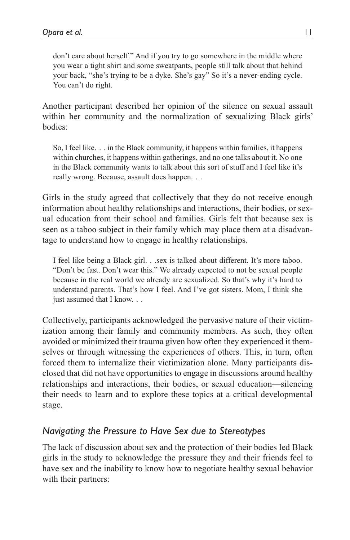don't care about herself." And if you try to go somewhere in the middle where you wear a tight shirt and some sweatpants, people still talk about that behind your back, "she's trying to be a dyke. She's gay" So it's a never-ending cycle. You can't do right.

Another participant described her opinion of the silence on sexual assault within her community and the normalization of sexualizing Black girls' bodies:

So, I feel like. . . in the Black community, it happens within families, it happens within churches, it happens within gatherings, and no one talks about it. No one in the Black community wants to talk about this sort of stuff and I feel like it's really wrong. Because, assault does happen. . .

Girls in the study agreed that collectively that they do not receive enough information about healthy relationships and interactions, their bodies, or sexual education from their school and families. Girls felt that because sex is seen as a taboo subject in their family which may place them at a disadvantage to understand how to engage in healthy relationships.

I feel like being a Black girl. . .sex is talked about different. It's more taboo. "Don't be fast. Don't wear this." We already expected to not be sexual people because in the real world we already are sexualized. So that's why it's hard to understand parents. That's how I feel. And I've got sisters. Mom, I think she just assumed that I know. . .

Collectively, participants acknowledged the pervasive nature of their victimization among their family and community members. As such, they often avoided or minimized their trauma given how often they experienced it themselves or through witnessing the experiences of others. This, in turn, often forced them to internalize their victimization alone. Many participants disclosed that did not have opportunities to engage in discussions around healthy relationships and interactions, their bodies, or sexual education—silencing their needs to learn and to explore these topics at a critical developmental stage.

## *Navigating the Pressure to Have Sex due to Stereotypes*

The lack of discussion about sex and the protection of their bodies led Black girls in the study to acknowledge the pressure they and their friends feel to have sex and the inability to know how to negotiate healthy sexual behavior with their partners: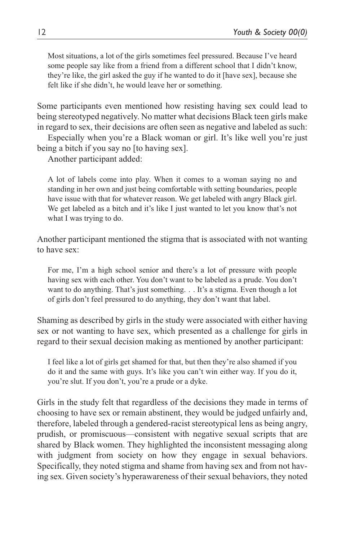Most situations, a lot of the girls sometimes feel pressured. Because I've heard some people say like from a friend from a different school that I didn't know, they're like, the girl asked the guy if he wanted to do it [have sex], because she felt like if she didn't, he would leave her or something.

Some participants even mentioned how resisting having sex could lead to being stereotyped negatively. No matter what decisions Black teen girls make in regard to sex, their decisions are often seen as negative and labeled as such:

Especially when you're a Black woman or girl. It's like well you're just being a bitch if you say no [to having sex].

Another participant added:

A lot of labels come into play. When it comes to a woman saying no and standing in her own and just being comfortable with setting boundaries, people have issue with that for whatever reason. We get labeled with angry Black girl. We get labeled as a bitch and it's like I just wanted to let you know that's not what I was trying to do.

Another participant mentioned the stigma that is associated with not wanting to have sex:

For me, I'm a high school senior and there's a lot of pressure with people having sex with each other. You don't want to be labeled as a prude. You don't want to do anything. That's just something. . . It's a stigma. Even though a lot of girls don't feel pressured to do anything, they don't want that label.

Shaming as described by girls in the study were associated with either having sex or not wanting to have sex, which presented as a challenge for girls in regard to their sexual decision making as mentioned by another participant:

I feel like a lot of girls get shamed for that, but then they're also shamed if you do it and the same with guys. It's like you can't win either way. If you do it, you're slut. If you don't, you're a prude or a dyke.

Girls in the study felt that regardless of the decisions they made in terms of choosing to have sex or remain abstinent, they would be judged unfairly and, therefore, labeled through a gendered-racist stereotypical lens as being angry, prudish, or promiscuous—consistent with negative sexual scripts that are shared by Black women. They highlighted the inconsistent messaging along with judgment from society on how they engage in sexual behaviors. Specifically, they noted stigma and shame from having sex and from not having sex. Given society's hyperawareness of their sexual behaviors, they noted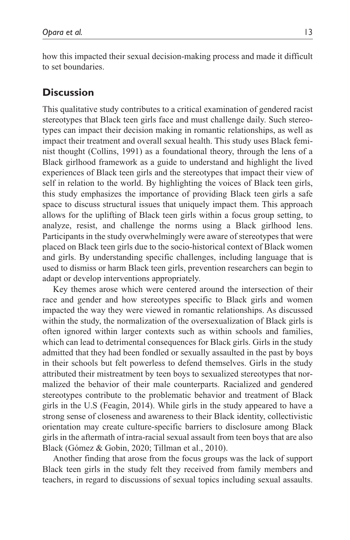how this impacted their sexual decision-making process and made it difficult to set boundaries.

# **Discussion**

This qualitative study contributes to a critical examination of gendered racist stereotypes that Black teen girls face and must challenge daily. Such stereotypes can impact their decision making in romantic relationships, as well as impact their treatment and overall sexual health. This study uses Black feminist thought (Collins, 1991) as a foundational theory, through the lens of a Black girlhood framework as a guide to understand and highlight the lived experiences of Black teen girls and the stereotypes that impact their view of self in relation to the world. By highlighting the voices of Black teen girls, this study emphasizes the importance of providing Black teen girls a safe space to discuss structural issues that uniquely impact them. This approach allows for the uplifting of Black teen girls within a focus group setting, to analyze, resist, and challenge the norms using a Black girlhood lens. Participants in the study overwhelmingly were aware of stereotypes that were placed on Black teen girls due to the socio-historical context of Black women and girls. By understanding specific challenges, including language that is used to dismiss or harm Black teen girls, prevention researchers can begin to adapt or develop interventions appropriately.

Key themes arose which were centered around the intersection of their race and gender and how stereotypes specific to Black girls and women impacted the way they were viewed in romantic relationships. As discussed within the study, the normalization of the oversexualization of Black girls is often ignored within larger contexts such as within schools and families, which can lead to detrimental consequences for Black girls. Girls in the study admitted that they had been fondled or sexually assaulted in the past by boys in their schools but felt powerless to defend themselves. Girls in the study attributed their mistreatment by teen boys to sexualized stereotypes that normalized the behavior of their male counterparts. Racialized and gendered stereotypes contribute to the problematic behavior and treatment of Black girls in the U.S (Feagin, 2014). While girls in the study appeared to have a strong sense of closeness and awareness to their Black identity, collectivistic orientation may create culture-specific barriers to disclosure among Black girls in the aftermath of intra-racial sexual assault from teen boys that are also Black (Gómez & Gobin, 2020; Tillman et al., 2010).

Another finding that arose from the focus groups was the lack of support Black teen girls in the study felt they received from family members and teachers, in regard to discussions of sexual topics including sexual assaults.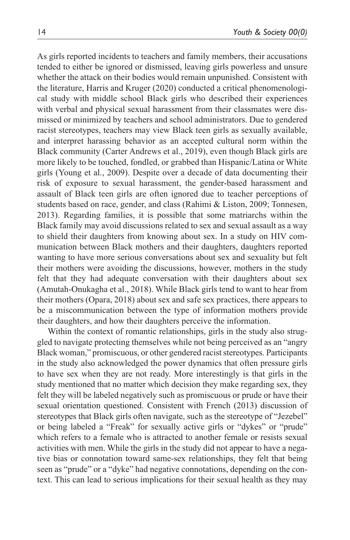As girls reported incidents to teachers and family members, their accusations tended to either be ignored or dismissed, leaving girls powerless and unsure whether the attack on their bodies would remain unpunished. Consistent with the literature, Harris and Kruger (2020) conducted a critical phenomenological study with middle school Black girls who described their experiences with verbal and physical sexual harassment from their classmates were dismissed or minimized by teachers and school administrators. Due to gendered racist stereotypes, teachers may view Black teen girls as sexually available, and interpret harassing behavior as an accepted cultural norm within the Black community (Carter Andrews et al., 2019), even though Black girls are more likely to be touched, fondled, or grabbed than Hispanic/Latina or White girls (Young et al., 2009). Despite over a decade of data documenting their risk of exposure to sexual harassment, the gender-based harassment and assault of Black teen girls are often ignored due to teacher perceptions of students based on race, gender, and class (Rahimi & Liston, 2009; Tonnesen, 2013). Regarding families, it is possible that some matriarchs within the Black family may avoid discussions related to sex and sexual assault as a way to shield their daughters from knowing about sex. In a study on HIV communication between Black mothers and their daughters, daughters reported wanting to have more serious conversations about sex and sexuality but felt their mothers were avoiding the discussions, however, mothers in the study felt that they had adequate conversation with their daughters about sex (Amutah-Onukagha et al., 2018). While Black girls tend to want to hear from their mothers (Opara, 2018) about sex and safe sex practices, there appears to be a miscommunication between the type of information mothers provide their daughters, and how their daughters perceive the information.

Within the context of romantic relationships, girls in the study also struggled to navigate protecting themselves while not being perceived as an "angry Black woman," promiscuous, or other gendered racist stereotypes. Participants in the study also acknowledged the power dynamics that often pressure girls to have sex when they are not ready. More interestingly is that girls in the study mentioned that no matter which decision they make regarding sex, they felt they will be labeled negatively such as promiscuous or prude or have their sexual orientation questioned. Consistent with French (2013) discussion of stereotypes that Black girls often navigate, such as the stereotype of "Jezebel" or being labeled a "Freak" for sexually active girls or "dykes" or "prude" which refers to a female who is attracted to another female or resists sexual activities with men. While the girls in the study did not appear to have a negative bias or connotation toward same-sex relationships, they felt that being seen as "prude" or a "dyke" had negative connotations, depending on the context. This can lead to serious implications for their sexual health as they may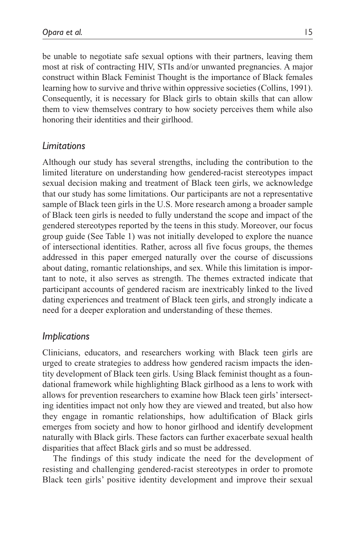be unable to negotiate safe sexual options with their partners, leaving them most at risk of contracting HIV, STIs and/or unwanted pregnancies. A major construct within Black Feminist Thought is the importance of Black females learning how to survive and thrive within oppressive societies (Collins, 1991). Consequently, it is necessary for Black girls to obtain skills that can allow them to view themselves contrary to how society perceives them while also honoring their identities and their girlhood.

## *Limitations*

Although our study has several strengths, including the contribution to the limited literature on understanding how gendered-racist stereotypes impact sexual decision making and treatment of Black teen girls, we acknowledge that our study has some limitations. Our participants are not a representative sample of Black teen girls in the U.S. More research among a broader sample of Black teen girls is needed to fully understand the scope and impact of the gendered stereotypes reported by the teens in this study. Moreover, our focus group guide (See Table 1) was not initially developed to explore the nuance of intersectional identities. Rather, across all five focus groups, the themes addressed in this paper emerged naturally over the course of discussions about dating, romantic relationships, and sex. While this limitation is important to note, it also serves as strength. The themes extracted indicate that participant accounts of gendered racism are inextricably linked to the lived dating experiences and treatment of Black teen girls, and strongly indicate a need for a deeper exploration and understanding of these themes.

## *Implications*

Clinicians, educators, and researchers working with Black teen girls are urged to create strategies to address how gendered racism impacts the identity development of Black teen girls. Using Black feminist thought as a foundational framework while highlighting Black girlhood as a lens to work with allows for prevention researchers to examine how Black teen girls' intersecting identities impact not only how they are viewed and treated, but also how they engage in romantic relationships, how adultification of Black girls emerges from society and how to honor girlhood and identify development naturally with Black girls. These factors can further exacerbate sexual health disparities that affect Black girls and so must be addressed.

The findings of this study indicate the need for the development of resisting and challenging gendered-racist stereotypes in order to promote Black teen girls' positive identity development and improve their sexual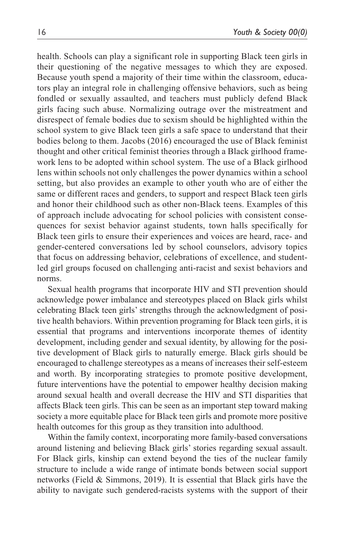health. Schools can play a significant role in supporting Black teen girls in their questioning of the negative messages to which they are exposed. Because youth spend a majority of their time within the classroom, educators play an integral role in challenging offensive behaviors, such as being fondled or sexually assaulted, and teachers must publicly defend Black girls facing such abuse. Normalizing outrage over the mistreatment and disrespect of female bodies due to sexism should be highlighted within the school system to give Black teen girls a safe space to understand that their bodies belong to them. Jacobs (2016) encouraged the use of Black feminist thought and other critical feminist theories through a Black girlhood framework lens to be adopted within school system. The use of a Black girlhood lens within schools not only challenges the power dynamics within a school setting, but also provides an example to other youth who are of either the same or different races and genders, to support and respect Black teen girls and honor their childhood such as other non-Black teens. Examples of this of approach include advocating for school policies with consistent consequences for sexist behavior against students, town halls specifically for Black teen girls to ensure their experiences and voices are heard, race- and gender-centered conversations led by school counselors, advisory topics that focus on addressing behavior, celebrations of excellence, and studentled girl groups focused on challenging anti-racist and sexist behaviors and norms.

Sexual health programs that incorporate HIV and STI prevention should acknowledge power imbalance and stereotypes placed on Black girls whilst celebrating Black teen girls' strengths through the acknowledgment of positive health behaviors. Within prevention programing for Black teen girls, it is essential that programs and interventions incorporate themes of identity development, including gender and sexual identity, by allowing for the positive development of Black girls to naturally emerge. Black girls should be encouraged to challenge stereotypes as a means of increases their self-esteem and worth. By incorporating strategies to promote positive development, future interventions have the potential to empower healthy decision making around sexual health and overall decrease the HIV and STI disparities that affects Black teen girls. This can be seen as an important step toward making society a more equitable place for Black teen girls and promote more positive health outcomes for this group as they transition into adulthood.

Within the family context, incorporating more family-based conversations around listening and believing Black girls' stories regarding sexual assault. For Black girls, kinship can extend beyond the ties of the nuclear family structure to include a wide range of intimate bonds between social support networks (Field & Simmons, 2019). It is essential that Black girls have the ability to navigate such gendered-racists systems with the support of their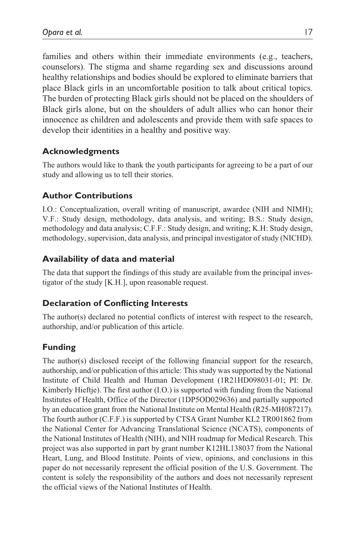families and others within their immediate environments (e.g., teachers, counselors). The stigma and shame regarding sex and discussions around healthy relationships and bodies should be explored to eliminate barriers that place Black girls in an uncomfortable position to talk about critical topics. The burden of protecting Black girls should not be placed on the shoulders of Black girls alone, but on the shoulders of adult allies who can honor their innocence as children and adolescents and provide them with safe spaces to develop their identities in a healthy and positive way.

## **Acknowledgments**

The authors would like to thank the youth participants for agreeing to be a part of our study and allowing us to tell their stories.

## **Author Contributions**

I.O.: Conceptualization, overall writing of manuscript, awardee (NIH and NIMH); V.F.: Study design, methodology, data analysis, and writing; B.S.: Study design, methodology and data analysis; C.F.F.: Study design, and writing; K.H: Study design, methodology, supervision, data analysis, and principal investigator of study (NICHD).

## **Availability of data and material**

The data that support the findings of this study are available from the principal investigator of the study [K.H.], upon reasonable request.

#### **Declaration of Conflicting Interests**

The author(s) declared no potential conflicts of interest with respect to the research, authorship, and/or publication of this article.

## **Funding**

The author(s) disclosed receipt of the following financial support for the research, authorship, and/or publication of this article: This study was supported by the National Institute of Child Health and Human Development (1R21HD098031-01; PI: Dr. Kimberly Hieftje). The first author (I.O.) is supported with funding from the National Institutes of Health, Office of the Director (1DP5OD029636) and partially supported by an education grant from the National Institute on Mental Health (R25-MH087217). The fourth author (C.F.F.) is supported by CTSA Grant Number KL2 TR001862 from the National Center for Advancing Translational Science (NCATS), components of the National Institutes of Health (NIH), and NIH roadmap for Medical Research. This project was also supported in part by grant number K12HL138037 from the National Heart, Lung, and Blood Institute. Points of view, opinions, and conclusions in this paper do not necessarily represent the official position of the U.S. Government. The content is solely the responsibility of the authors and does not necessarily represent the official views of the National Institutes of Health.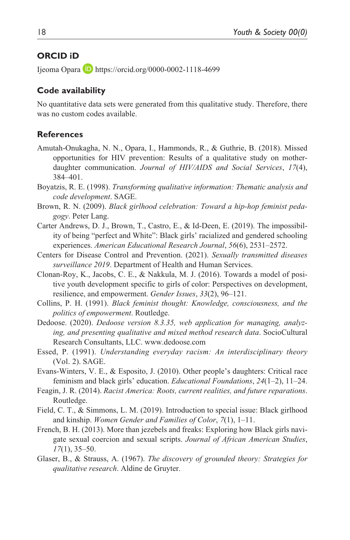### **ORCID iD**

Ijeoma Opara D <https://orcid.org/0000-0002-1118-4699>

### **Code availability**

No quantitative data sets were generated from this qualitative study. Therefore, there was no custom codes available.

#### **References**

- Amutah-Onukagha, N. N., Opara, I., Hammonds, R., & Guthrie, B. (2018). Missed opportunities for HIV prevention: Results of a qualitative study on motherdaughter communication. *Journal of HIV/AIDS and Social Services*, *17*(4), 384–401.
- Boyatzis, R. E. (1998). *Transforming qualitative information: Thematic analysis and code development*. SAGE.
- Brown, R. N. (2009). *Black girlhood celebration: Toward a hip-hop feminist pedagogy*. Peter Lang.
- Carter Andrews, D. J., Brown, T., Castro, E., & Id-Deen, E. (2019). The impossibility of being "perfect and White": Black girls' racialized and gendered schooling experiences. *American Educational Research Journal*, *56*(6), 2531–2572.
- Centers for Disease Control and Prevention. (2021). *Sexually transmitted diseases surveillance 2019*. Department of Health and Human Services.
- Clonan-Roy, K., Jacobs, C. E., & Nakkula, M. J. (2016). Towards a model of positive youth development specific to girls of color: Perspectives on development, resilience, and empowerment. *Gender Issues*, *33*(2), 96–121.
- Collins, P. H. (1991). *Black feminist thought: Knowledge, consciousness, and the politics of empowerment*. Routledge.
- Dedoose. (2020). *Dedoose version 8.3.35, web application for managing, analyzing, and presenting qualitative and mixed method research data*. SocioCultural Research Consultants, LLC. <www.dedoose.com>
- Essed, P. (1991). *Understanding everyday racism: An interdisciplinary theory* (Vol. 2). SAGE.
- Evans-Winters, V. E., & Esposito, J. (2010). Other people's daughters: Critical race feminism and black girls' education. *Educational Foundations*, *24*(1–2), 11–24.
- Feagin, J. R. (2014). *Racist America: Roots, current realities, and future reparations*. Routledge.
- Field, C. T., & Simmons, L. M. (2019). Introduction to special issue: Black girlhood and kinship. *Women Gender and Families of Color*, *7*(1), 1–11.
- French, B. H. (2013). More than jezebels and freaks: Exploring how Black girls navigate sexual coercion and sexual scripts. *Journal of African American Studies*, *17*(1), 35–50.
- Glaser, B., & Strauss, A. (1967). *The discovery of grounded theory: Strategies for qualitative research*. Aldine de Gruyter.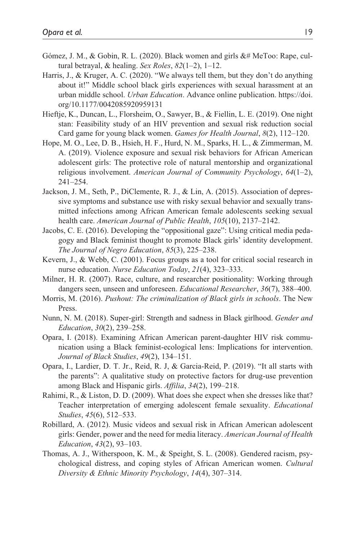- Gómez, J. M., & Gobin, R. L. (2020). Black women and girls &# MeToo: Rape, cultural betrayal, & healing. *Sex Roles*, *82*(1–2), 1–12.
- Harris, J., & Kruger, A. C. (2020). "We always tell them, but they don't do anything about it!" Middle school black girls experiences with sexual harassment at an urban middle school. *Urban Education*. Advance online publication. [https://doi.](https://doi.org/10.1177/0042085920959131) [org/10.1177/0042085920959131](https://doi.org/10.1177/0042085920959131)
- Hieftje, K., Duncan, L., Florsheim, O., Sawyer, B., & Fiellin, L. E. (2019). One night stan: Feasibility study of an HIV prevention and sexual risk reduction social Card game for young black women. *Games for Health Journal*, *8*(2), 112–120.
- Hope, M. O., Lee, D. B., Hsieh, H. F., Hurd, N. M., Sparks, H. L., & Zimmerman, M. A. (2019). Violence exposure and sexual risk behaviors for African American adolescent girls: The protective role of natural mentorship and organizational religious involvement. *American Journal of Community Psychology*, *64*(1–2), 241–254.
- Jackson, J. M., Seth, P., DiClemente, R. J., & Lin, A. (2015). Association of depressive symptoms and substance use with risky sexual behavior and sexually transmitted infections among African American female adolescents seeking sexual health care. *American Journal of Public Health*, *105*(10), 2137–2142.
- Jacobs, C. E. (2016). Developing the "oppositional gaze": Using critical media pedagogy and Black feminist thought to promote Black girls' identity development. *The Journal of Negro Education*, *85*(3), 225–238.
- Kevern, J., & Webb, C. (2001). Focus groups as a tool for critical social research in nurse education. *Nurse Education Today*, *21*(4), 323–333.
- Milner, H. R. (2007). Race, culture, and researcher positionality: Working through dangers seen, unseen and unforeseen. *Educational Researcher*, *36*(7), 388–400.
- Morris, M. (2016). *Pushout: The criminalization of Black girls in schools*. The New Press.
- Nunn, N. M. (2018). Super-girl: Strength and sadness in Black girlhood. *Gender and Education*, *30*(2), 239–258.
- Opara, I. (2018). Examining African American parent-daughter HIV risk communication using a Black feminist-ecological lens: Implications for intervention. *Journal of Black Studies*, *49*(2), 134–151.
- Opara, I., Lardier, D. T. Jr., Reid, R. J, & Garcia-Reid, P. (2019). "It all starts with the parents": A qualitative study on protective factors for drug-use prevention among Black and Hispanic girls. *Affilia*, *34*(2), 199–218.
- Rahimi, R., & Liston, D. D. (2009). What does she expect when she dresses like that? Teacher interpretation of emerging adolescent female sexuality. *Educational Studies*, *45*(6), 512–533.
- Robillard, A. (2012). Music videos and sexual risk in African American adolescent girls: Gender, power and the need for media literacy. *American Journal of Health Education*, *43*(2), 93–103.
- Thomas, A. J., Witherspoon, K. M., & Speight, S. L. (2008). Gendered racism, psychological distress, and coping styles of African American women. *Cultural Diversity & Ethnic Minority Psychology*, *14*(4), 307–314.